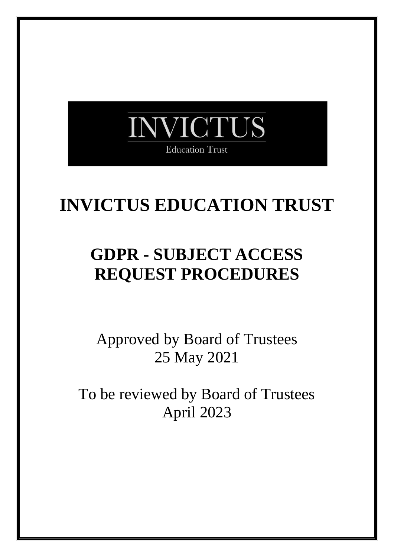

# **INVICTUS EDUCATION TRUST**

# **GDPR - SUBJECT ACCESS REQUEST PROCEDURES**

Approved by Board of Trustees 25 May 2021

To be reviewed by Board of Trustees April 2023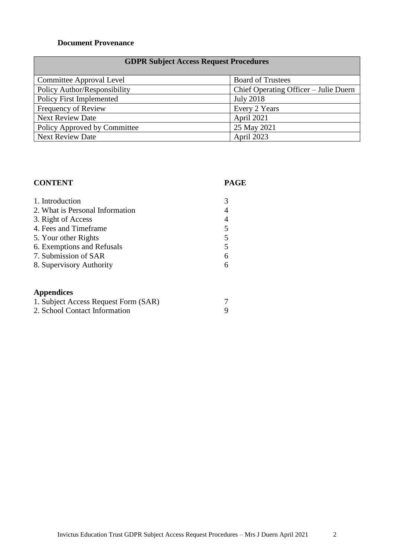#### **Document Provenance**

#### **GDPR Subject Access Request Procedures**

| Committee Approval Level        | <b>Board of Trustees</b>              |
|---------------------------------|---------------------------------------|
| Policy Author/Responsibility    | Chief Operating Officer – Julie Duern |
| <b>Policy First Implemented</b> | <b>July 2018</b>                      |
| Frequency of Review             | Every 2 Years                         |
| <b>Next Review Date</b>         | April 2021                            |
| Policy Approved by Committee    | 25 May 2021                           |
| <b>Next Review Date</b>         | April 2023                            |

### **CONTENT PAGE** 1. Introduction 3 2. What is Personal Information 4 3. Right of Access 4 4. Fees and Timeframe 5<br>5. Your other Rights 5 5. Your other Rights 5<br>6. Exemptions and Refusals 5 6. Exemptions and Refusals 7. Submission of SAR 6 8. Supervisory Authority 6 **Appendices** 1. Subject Access Request Form (SAR) 7 2. School Contact Information 9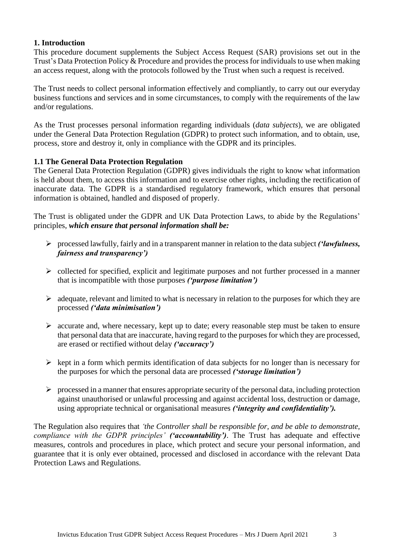#### **1. Introduction**

This procedure document supplements the Subject Access Request (SAR) provisions set out in the Trust's Data Protection Policy & Procedure and provides the process for individuals to use when making an access request, along with the protocols followed by the Trust when such a request is received.

The Trust needs to collect personal information effectively and compliantly, to carry out our everyday business functions and services and in some circumstances, to comply with the requirements of the law and/or regulations.

As the Trust processes personal information regarding individuals (*data subjects*), we are obligated under the General Data Protection Regulation (GDPR) to protect such information, and to obtain, use, process, store and destroy it, only in compliance with the GDPR and its principles.

#### **1.1 The General Data Protection Regulation**

The General Data Protection Regulation (GDPR) gives individuals the right to know what information is held about them, to access this information and to exercise other rights, including the rectification of inaccurate data. The GDPR is a standardised regulatory framework, which ensures that personal information is obtained, handled and disposed of properly.

The Trust is obligated under the GDPR and UK Data Protection Laws, to abide by the Regulations' principles, *which ensure that personal information shall be:*

- ➢ processed lawfully, fairly and in a transparent manner in relation to the data subject *('lawfulness, fairness and transparency')*
- ➢ collected for specified, explicit and legitimate purposes and not further processed in a manner that is incompatible with those purposes *('purpose limitation')*
- $\triangleright$  adequate, relevant and limited to what is necessary in relation to the purposes for which they are processed *('data minimisation')*
- ➢ accurate and, where necessary, kept up to date; every reasonable step must be taken to ensure that personal data that are inaccurate, having regard to the purposes for which they are processed, are erased or rectified without delay *('accuracy')*
- $\triangleright$  kept in a form which permits identification of data subjects for no longer than is necessary for the purposes for which the personal data are processed *('storage limitation')*
- $\triangleright$  processed in a manner that ensures appropriate security of the personal data, including protection against unauthorised or unlawful processing and against accidental loss, destruction or damage, using appropriate technical or organisational measures *('integrity and confidentiality').*

The Regulation also requires that *'the Controller shall be responsible for, and be able to demonstrate, compliance with the GDPR principles' ('accountability')*. The Trust has adequate and effective measures, controls and procedures in place, which protect and secure your personal information, and guarantee that it is only ever obtained, processed and disclosed in accordance with the relevant Data Protection Laws and Regulations.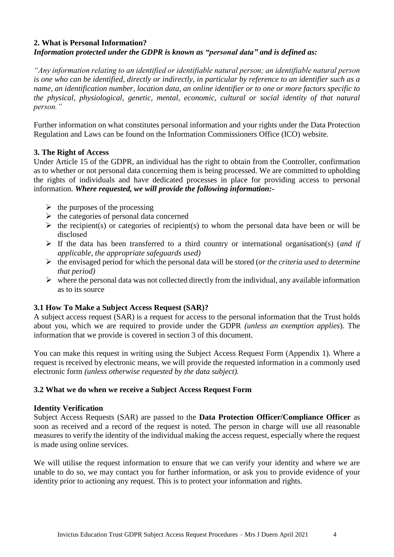#### **2. What is Personal Information?** *Information protected under the GDPR is known as "personal data" and is defined as:*

*"Any information relating to an identified or identifiable natural person; an identifiable natural person is one who can be identified, directly or indirectly, in particular by reference to an identifier such as a name, an identification number, location data, an online identifier or to one or more factors specific to the physical, physiological, genetic, mental, economic, cultural or social identity of that natural person."*

Further information on what constitutes personal information and your rights under the Data Protection Regulation and Laws can be found on the Information Commissioners Office (ICO) website.

#### **3. The Right of Access**

Under Article 15 of the GDPR, an individual has the right to obtain from the Controller, confirmation as to whether or not personal data concerning them is being processed. We are committed to upholding the rights of individuals and have dedicated processes in place for providing access to personal information. *Where requested, we will provide the following information:-*

- $\triangleright$  the purposes of the processing
- $\triangleright$  the categories of personal data concerned
- $\triangleright$  the recipient(s) or categories of recipient(s) to whom the personal data have been or will be disclosed
- ➢ If the data has been transferred to a third country or international organisation(s) (*and if applicable, the appropriate safeguards used)*
- ➢ the envisaged period for which the personal data will be stored (*or the criteria used to determine that period)*
- $\triangleright$  where the personal data was not collected directly from the individual, any available information as to its source

#### **3.1 How To Make a Subject Access Request (SAR)?**

A subject access request (SAR) is a request for access to the personal information that the Trust holds about you, which we are required to provide under the GDPR *(unless an exemption applies*). The information that we provide is covered in section 3 of this document.

You can make this request in writing using the Subject Access Request Form (Appendix 1). Where a request is received by electronic means, we will provide the requested information in a commonly used electronic form *(unless otherwise requested by the data subject).*

#### **3.2 What we do when we receive a Subject Access Request Form**

#### **Identity Verification**

Subject Access Requests (SAR) are passed to the **Data Protection Officer/Compliance Officer** as soon as received and a record of the request is noted. The person in charge will use all reasonable measures to verify the identity of the individual making the access request, especially where the request is made using online services.

We will utilise the request information to ensure that we can verify your identity and where we are unable to do so, we may contact you for further information, or ask you to provide evidence of your identity prior to actioning any request. This is to protect your information and rights.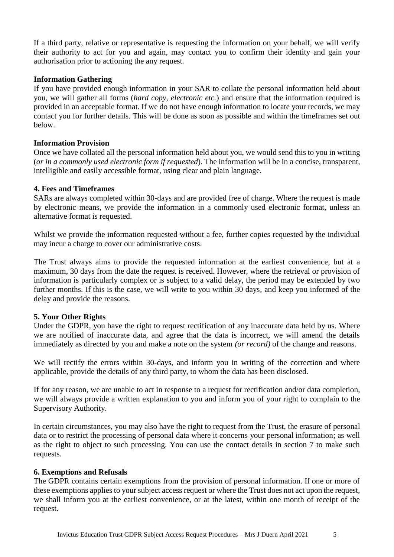If a third party, relative or representative is requesting the information on your behalf, we will verify their authority to act for you and again, may contact you to confirm their identity and gain your authorisation prior to actioning the any request.

#### **Information Gathering**

If you have provided enough information in your SAR to collate the personal information held about you, we will gather all forms (*hard copy, electronic etc.*) and ensure that the information required is provided in an acceptable format. If we do not have enough information to locate your records, we may contact you for further details. This will be done as soon as possible and within the timeframes set out below.

#### **Information Provision**

Once we have collated all the personal information held about you, we would send this to you in writing (*or in a commonly used electronic form if requested*). The information will be in a concise, transparent, intelligible and easily accessible format, using clear and plain language.

#### **4. Fees and Timeframes**

SARs are always completed within 30-days and are provided free of charge. Where the request is made by electronic means, we provide the information in a commonly used electronic format, unless an alternative format is requested.

Whilst we provide the information requested without a fee, further copies requested by the individual may incur a charge to cover our administrative costs.

The Trust always aims to provide the requested information at the earliest convenience, but at a maximum, 30 days from the date the request is received. However, where the retrieval or provision of information is particularly complex or is subject to a valid delay, the period may be extended by two further months. If this is the case, we will write to you within 30 days, and keep you informed of the delay and provide the reasons.

#### **5. Your Other Rights**

Under the GDPR, you have the right to request rectification of any inaccurate data held by us. Where we are notified of inaccurate data, and agree that the data is incorrect, we will amend the details immediately as directed by you and make a note on the system *(or record)* of the change and reasons.

We will rectify the errors within 30-days, and inform you in writing of the correction and where applicable, provide the details of any third party, to whom the data has been disclosed.

If for any reason, we are unable to act in response to a request for rectification and/or data completion, we will always provide a written explanation to you and inform you of your right to complain to the Supervisory Authority.

In certain circumstances, you may also have the right to request from the Trust, the erasure of personal data or to restrict the processing of personal data where it concerns your personal information; as well as the right to object to such processing. You can use the contact details in section 7 to make such requests.

#### **6. Exemptions and Refusals**

The GDPR contains certain exemptions from the provision of personal information. If one or more of these exemptions applies to your subject access request or where the Trust does not act upon the request, we shall inform you at the earliest convenience, or at the latest, within one month of receipt of the request.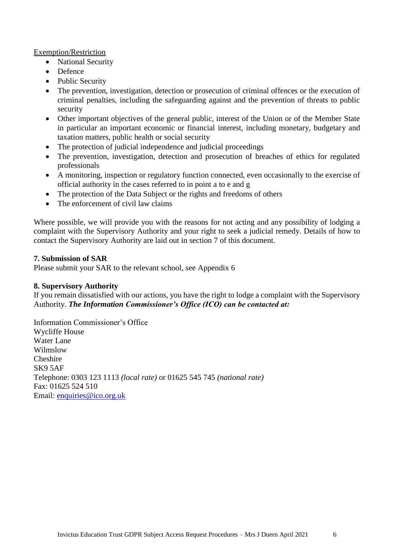#### Exemption/Restriction

- National Security
- Defence
- Public Security
- The prevention, investigation, detection or prosecution of criminal offences or the execution of criminal penalties, including the safeguarding against and the prevention of threats to public security
- Other important objectives of the general public, interest of the Union or of the Member State in particular an important economic or financial interest, including monetary, budgetary and taxation matters, public health or social security
- The protection of judicial independence and judicial proceedings
- The prevention, investigation, detection and prosecution of breaches of ethics for regulated professionals
- A monitoring, inspection or regulatory function connected, even occasionally to the exercise of official authority in the cases referred to in point a to e and g
- The protection of the Data Subject or the rights and freedoms of others
- The enforcement of civil law claims

Where possible, we will provide you with the reasons for not acting and any possibility of lodging a complaint with the Supervisory Authority and your right to seek a judicial remedy. Details of how to contact the Supervisory Authority are laid out in section 7 of this document.

#### **7. Submission of SAR**

Please submit your SAR to the relevant school, see Appendix 6

#### **8. Supervisory Authority**

If you remain dissatisfied with our actions, you have the right to lodge a complaint with the Supervisory Authority. *The Information Commissioner's Office (ICO) can be contacted at:*

Information Commissioner's Office Wycliffe House Water Lane Wilmslow Cheshire SK9 5AF Telephone: 0303 123 1113 *(local rate)* or 01625 545 745 *(national rate)* Fax: 01625 524 510 Email: [enquiries@ico.org.uk](mailto:enquiries@ico.org.uk)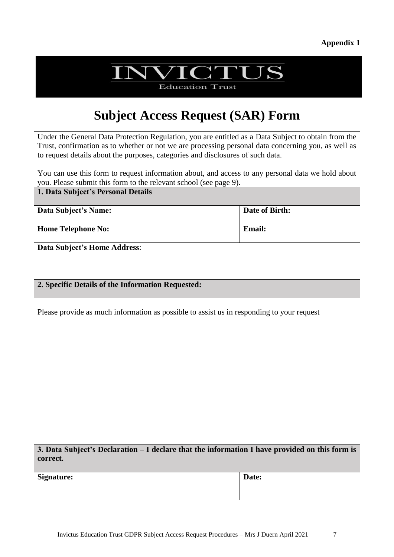#### **Appendix 1**

# **NVICTUS**

**Education Trust** 

## **Subject Access Request (SAR) Form**

Under the General Data Protection Regulation, you are entitled as a Data Subject to obtain from the Trust, confirmation as to whether or not we are processing personal data concerning you, as well as to request details about the purposes, categories and disclosures of such data.

You can use this form to request information about, and access to any personal data we hold about you. Please submit this form to the relevant school (see page 9).

#### **1. Data Subject's Personal Details**

| Data Subject's Name:      | Date of Birth: |
|---------------------------|----------------|
| <b>Home Telephone No:</b> | <b>Email:</b>  |

**Data Subject's Home Address**:

#### **2. Specific Details of the Information Requested:**

Please provide as much information as possible to assist us in responding to your request

**3. Data Subject's Declaration – I declare that the information I have provided on this form is correct.**

**Date:**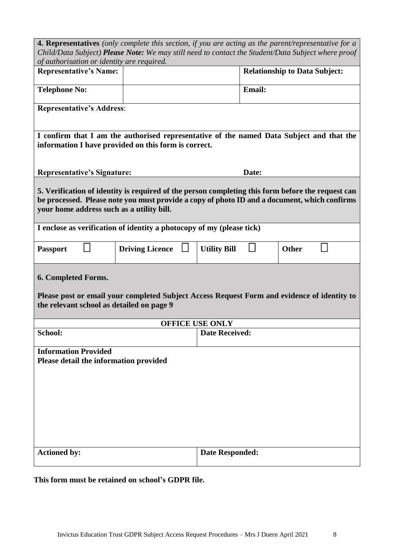| 4. Representatives (only complete this section, if you are acting as the parent/representative for a<br>Child/Data Subject) Please Note: We may still need to contact the Student/Data Subject where proof                                     |                        |                        |                                      |  |  |  |
|------------------------------------------------------------------------------------------------------------------------------------------------------------------------------------------------------------------------------------------------|------------------------|------------------------|--------------------------------------|--|--|--|
| of authorisation or identity are required.<br><b>Representative's Name:</b>                                                                                                                                                                    |                        |                        | <b>Relationship to Data Subject:</b> |  |  |  |
| <b>Telephone No:</b>                                                                                                                                                                                                                           |                        |                        | <b>Email:</b>                        |  |  |  |
| <b>Representative's Address:</b>                                                                                                                                                                                                               |                        |                        |                                      |  |  |  |
| I confirm that I am the authorised representative of the named Data Subject and that the<br>information I have provided on this form is correct.                                                                                               |                        |                        |                                      |  |  |  |
| <b>Representative's Signature:</b>                                                                                                                                                                                                             |                        | Date:                  |                                      |  |  |  |
| 5. Verification of identity is required of the person completing this form before the request can<br>be processed. Please note you must provide a copy of photo ID and a document, which confirms<br>your home address such as a utility bill. |                        |                        |                                      |  |  |  |
| I enclose as verification of identity a photocopy of my (please tick)                                                                                                                                                                          |                        |                        |                                      |  |  |  |
| <b>Passport</b>                                                                                                                                                                                                                                | <b>Driving Licence</b> | <b>Utility Bill</b>    | <b>Other</b>                         |  |  |  |
| 6. Completed Forms.<br>Please post or email your completed Subject Access Request Form and evidence of identity to<br>the relevant school as detailed on page 9                                                                                |                        |                        |                                      |  |  |  |
|                                                                                                                                                                                                                                                | <b>OFFICE USE ONLY</b> |                        |                                      |  |  |  |
| School:                                                                                                                                                                                                                                        |                        | <b>Date Received:</b>  |                                      |  |  |  |
| <b>Information Provided</b><br>Please detail the information provided                                                                                                                                                                          |                        |                        |                                      |  |  |  |
| <b>Actioned by:</b>                                                                                                                                                                                                                            |                        | <b>Date Responded:</b> |                                      |  |  |  |
|                                                                                                                                                                                                                                                |                        |                        |                                      |  |  |  |

**This form must be retained on school's GDPR file.**